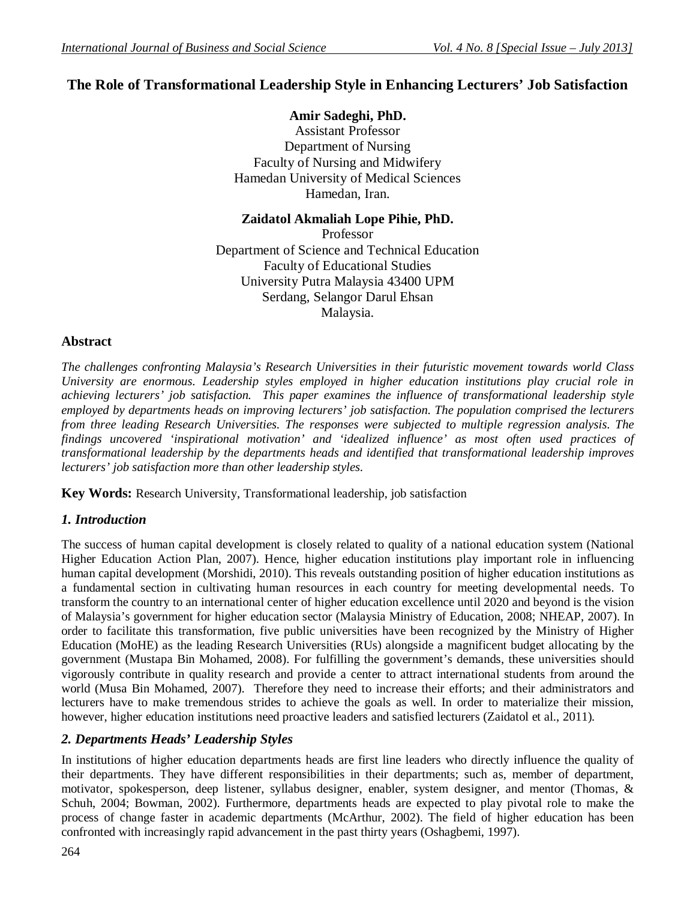# **The Role of Transformational Leadership Style in Enhancing Lecturers' Job Satisfaction**

### **Amir Sadeghi, PhD.**

Assistant Professor Department of Nursing Faculty of Nursing and Midwifery Hamedan University of Medical Sciences Hamedan, Iran.

### **Zaidatol Akmaliah Lope Pihie, PhD.**

Professor Department of Science and Technical Education Faculty of Educational Studies University Putra Malaysia 43400 UPM Serdang, Selangor Darul Ehsan Malaysia.

### **Abstract**

*The challenges confronting Malaysia's Research Universities in their futuristic movement towards world Class University are enormous. Leadership styles employed in higher education institutions play crucial role in achieving lecturers' job satisfaction. This paper examines the influence of transformational leadership style employed by departments heads on improving lecturers' job satisfaction. The population comprised the lecturers from three leading Research Universities. The responses were subjected to multiple regression analysis. The findings uncovered 'inspirational motivation' and 'idealized influence' as most often used practices of transformational leadership by the departments heads and identified that transformational leadership improves lecturers' job satisfaction more than other leadership styles.*

**Key Words:** Research University, Transformational leadership, job satisfaction

## *1. Introduction*

The success of human capital development is closely related to quality of a national education system (National Higher Education Action Plan, 2007). Hence, higher education institutions play important role in influencing human capital development (Morshidi, 2010). This reveals outstanding position of higher education institutions as a fundamental section in cultivating human resources in each country for meeting developmental needs. To transform the country to an international center of higher education excellence until 2020 and beyond is the vision of Malaysia's government for higher education sector (Malaysia Ministry of Education, 2008; NHEAP, 2007). In order to facilitate this transformation, five public universities have been recognized by the Ministry of Higher Education (MoHE) as the leading Research Universities (RUs) alongside a magnificent budget allocating by the government (Mustapa Bin Mohamed, 2008). For fulfilling the government's demands, these universities should vigorously contribute in quality research and provide a center to attract international students from around the world (Musa Bin Mohamed, 2007). Therefore they need to increase their efforts; and their administrators and lecturers have to make tremendous strides to achieve the goals as well. In order to materialize their mission, however, higher education institutions need proactive leaders and satisfied lecturers (Zaidatol et al., 2011).

## *2. Departments Heads' Leadership Styles*

In institutions of higher education departments heads are first line leaders who directly influence the quality of their departments. They have different responsibilities in their departments; such as, member of department, motivator, spokesperson, deep listener, syllabus designer, enabler, system designer, and mentor (Thomas, & Schuh, 2004; Bowman, 2002). Furthermore, departments heads are expected to play pivotal role to make the process of change faster in academic departments (McArthur, 2002). The field of higher education has been confronted with increasingly rapid advancement in the past thirty years (Oshagbemi, 1997).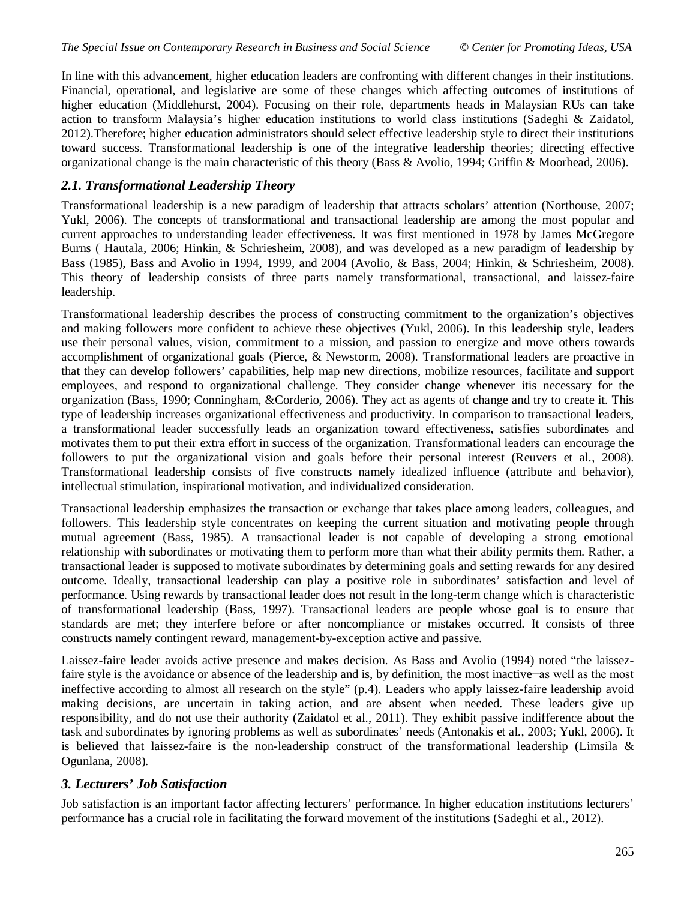In line with this advancement, higher education leaders are confronting with different changes in their institutions. Financial, operational, and legislative are some of these changes which affecting outcomes of institutions of higher education (Middlehurst, 2004). Focusing on their role, departments heads in Malaysian RUs can take action to transform Malaysia's higher education institutions to world class institutions (Sadeghi & Zaidatol, 2012).Therefore; higher education administrators should select effective leadership style to direct their institutions toward success. Transformational leadership is one of the integrative leadership theories; directing effective organizational change is the main characteristic of this theory (Bass & Avolio, 1994; Griffin & Moorhead, 2006).

### *2.1. Transformational Leadership Theory*

Transformational leadership is a new paradigm of leadership that attracts scholars' attention (Northouse, 2007; Yukl, 2006). The concepts of transformational and transactional leadership are among the most popular and current approaches to understanding leader effectiveness. It was first mentioned in 1978 by James McGregore Burns ( Hautala, 2006; Hinkin, & Schriesheim, 2008), and was developed as a new paradigm of leadership by Bass (1985), Bass and Avolio in 1994, 1999, and 2004 (Avolio, & Bass, 2004; Hinkin, & Schriesheim, 2008). This theory of leadership consists of three parts namely transformational, transactional, and laissez-faire leadership.

Transformational leadership describes the process of constructing commitment to the organization's objectives and making followers more confident to achieve these objectives (Yukl, 2006). In this leadership style, leaders use their personal values, vision, commitment to a mission, and passion to energize and move others towards accomplishment of organizational goals (Pierce, & Newstorm, 2008). Transformational leaders are proactive in that they can develop followers' capabilities, help map new directions, mobilize resources, facilitate and support employees, and respond to organizational challenge. They consider change whenever itis necessary for the organization (Bass, 1990; Conningham, &Corderio, 2006). They act as agents of change and try to create it. This type of leadership increases organizational effectiveness and productivity. In comparison to transactional leaders, a transformational leader successfully leads an organization toward effectiveness, satisfies subordinates and motivates them to put their extra effort in success of the organization. Transformational leaders can encourage the followers to put the organizational vision and goals before their personal interest (Reuvers et al., 2008). Transformational leadership consists of five constructs namely idealized influence (attribute and behavior), intellectual stimulation, inspirational motivation, and individualized consideration.

Transactional leadership emphasizes the transaction or exchange that takes place among leaders, colleagues, and followers. This leadership style concentrates on keeping the current situation and motivating people through mutual agreement (Bass, 1985). A transactional leader is not capable of developing a strong emotional relationship with subordinates or motivating them to perform more than what their ability permits them. Rather, a transactional leader is supposed to motivate subordinates by determining goals and setting rewards for any desired outcome. Ideally, transactional leadership can play a positive role in subordinates' satisfaction and level of performance. Using rewards by transactional leader does not result in the long-term change which is characteristic of transformational leadership (Bass, 1997). Transactional leaders are people whose goal is to ensure that standards are met; they interfere before or after noncompliance or mistakes occurred. It consists of three constructs namely contingent reward, management-by-exception active and passive.

Laissez-faire leader avoids active presence and makes decision. As Bass and Avolio (1994) noted "the laissezfaire style is the avoidance or absence of the leadership and is, by definition, the most inactive−as well as the most ineffective according to almost all research on the style" (p.4). Leaders who apply laissez-faire leadership avoid making decisions, are uncertain in taking action, and are absent when needed. These leaders give up responsibility, and do not use their authority (Zaidatol et al., 2011). They exhibit passive indifference about the task and subordinates by ignoring problems as well as subordinates' needs (Antonakis et al., 2003; Yukl, 2006). It is believed that laissez-faire is the non-leadership construct of the transformational leadership (Limsila & Ogunlana, 2008).

## *3. Lecturers' Job Satisfaction*

Job satisfaction is an important factor affecting lecturers' performance. In higher education institutions lecturers' performance has a crucial role in facilitating the forward movement of the institutions (Sadeghi et al., 2012).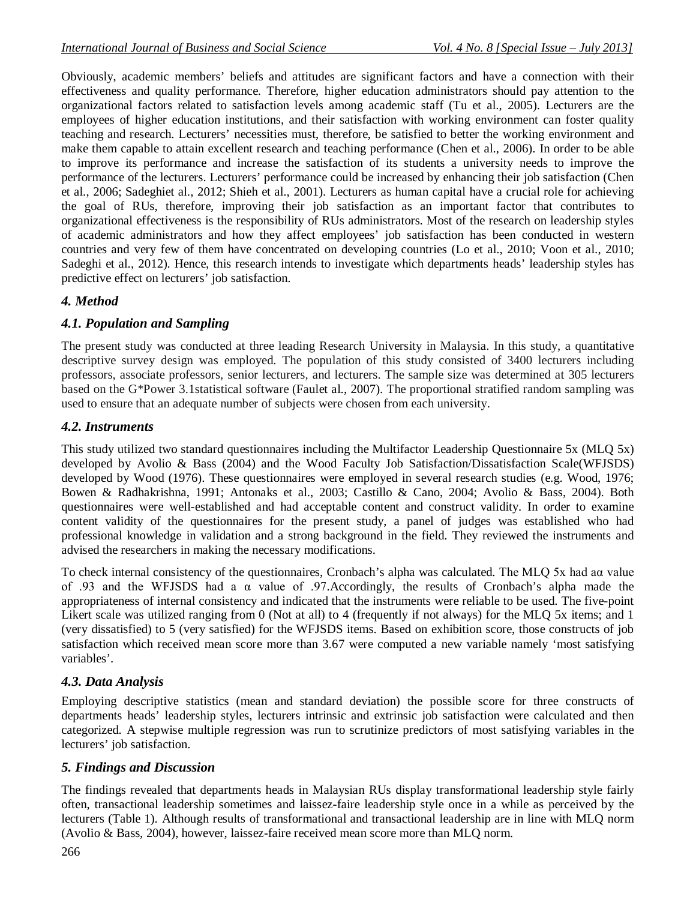Obviously, academic members' beliefs and attitudes are significant factors and have a connection with their effectiveness and quality performance. Therefore, higher education administrators should pay attention to the organizational factors related to satisfaction levels among academic staff (Tu et al., 2005). Lecturers are the employees of higher education institutions, and their satisfaction with working environment can foster quality teaching and research. Lecturers' necessities must, therefore, be satisfied to better the working environment and make them capable to attain excellent research and teaching performance (Chen et al., 2006). In order to be able to improve its performance and increase the satisfaction of its students a university needs to improve the performance of the lecturers. Lecturers' performance could be increased by enhancing their job satisfaction (Chen et al., 2006; Sadeghiet al., 2012; Shieh et al., 2001). Lecturers as human capital have a crucial role for achieving the goal of RUs, therefore, improving their job satisfaction as an important factor that contributes to organizational effectiveness is the responsibility of RUs administrators. Most of the research on leadership styles of academic administrators and how they affect employees' job satisfaction has been conducted in western countries and very few of them have concentrated on developing countries (Lo et al., 2010; Voon et al., 2010; Sadeghi et al., 2012). Hence, this research intends to investigate which departments heads' leadership styles has predictive effect on lecturers' job satisfaction.

## *4. Method*

# *4.1. Population and Sampling*

The present study was conducted at three leading Research University in Malaysia. In this study, a quantitative descriptive survey design was employed. The population of this study consisted of 3400 lecturers including professors, associate professors, senior lecturers, and lecturers. The sample size was determined at 305 lecturers based on the G\*Power 3.1statistical software (Faulet al., 2007). The proportional stratified random sampling was used to ensure that an adequate number of subjects were chosen from each university.

## *4.2. Instruments*

This study utilized two standard questionnaires including the Multifactor Leadership Questionnaire 5x (MLQ 5x) developed by Avolio & Bass (2004) and the Wood Faculty Job Satisfaction/Dissatisfaction Scale(WFJSDS) developed by Wood (1976). These questionnaires were employed in several research studies (e.g. Wood, 1976; Bowen & Radhakrishna, 1991; Antonaks et al., 2003; Castillo & Cano, 2004; Avolio & Bass, 2004). Both questionnaires were well-established and had acceptable content and construct validity. In order to examine content validity of the questionnaires for the present study, a panel of judges was established who had professional knowledge in validation and a strong background in the field. They reviewed the instruments and advised the researchers in making the necessary modifications.

To check internal consistency of the questionnaires, Cronbach's alpha was calculated. The MLQ 5x had aα value of .93 and the WFJSDS had a α value of .97.Accordingly, the results of Cronbach's alpha made the appropriateness of internal consistency and indicated that the instruments were reliable to be used. The five-point Likert scale was utilized ranging from 0 (Not at all) to 4 (frequently if not always) for the MLO 5x items; and 1 (very dissatisfied) to 5 (very satisfied) for the WFJSDS items. Based on exhibition score, those constructs of job satisfaction which received mean score more than 3.67 were computed a new variable namely 'most satisfying variables'.

# *4.3. Data Analysis*

Employing descriptive statistics (mean and standard deviation) the possible score for three constructs of departments heads' leadership styles, lecturers intrinsic and extrinsic job satisfaction were calculated and then categorized. A stepwise multiple regression was run to scrutinize predictors of most satisfying variables in the lecturers' job satisfaction.

# *5. Findings and Discussion*

The findings revealed that departments heads in Malaysian RUs display transformational leadership style fairly often, transactional leadership sometimes and laissez-faire leadership style once in a while as perceived by the lecturers (Table 1). Although results of transformational and transactional leadership are in line with MLQ norm (Avolio & Bass, 2004), however, laissez-faire received mean score more than MLQ norm.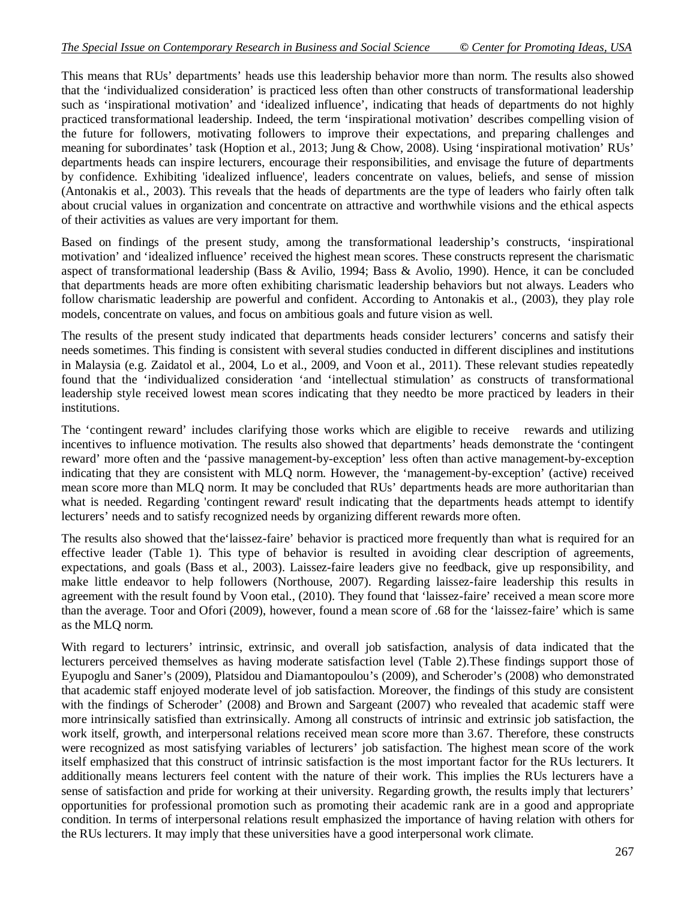This means that RUs' departments' heads use this leadership behavior more than norm. The results also showed that the 'individualized consideration' is practiced less often than other constructs of transformational leadership such as 'inspirational motivation' and 'idealized influence', indicating that heads of departments do not highly practiced transformational leadership. Indeed, the term 'inspirational motivation' describes compelling vision of the future for followers, motivating followers to improve their expectations, and preparing challenges and meaning for subordinates' task (Hoption et al., 2013; Jung & Chow, 2008). Using 'inspirational motivation' RUs' departments heads can inspire lecturers, encourage their responsibilities, and envisage the future of departments by confidence. Exhibiting 'idealized influence', leaders concentrate on values, beliefs, and sense of mission (Antonakis et al., 2003). This reveals that the heads of departments are the type of leaders who fairly often talk about crucial values in organization and concentrate on attractive and worthwhile visions and the ethical aspects of their activities as values are very important for them.

Based on findings of the present study, among the transformational leadership's constructs, 'inspirational motivation' and 'idealized influence' received the highest mean scores. These constructs represent the charismatic aspect of transformational leadership (Bass & Avilio, 1994; Bass & Avolio, 1990). Hence, it can be concluded that departments heads are more often exhibiting charismatic leadership behaviors but not always. Leaders who follow charismatic leadership are powerful and confident. According to Antonakis et al., (2003), they play role models, concentrate on values, and focus on ambitious goals and future vision as well.

The results of the present study indicated that departments heads consider lecturers' concerns and satisfy their needs sometimes. This finding is consistent with several studies conducted in different disciplines and institutions in Malaysia (e.g. Zaidatol et al., 2004, Lo et al., 2009, and Voon et al., 2011). These relevant studies repeatedly found that the 'individualized consideration 'and 'intellectual stimulation' as constructs of transformational leadership style received lowest mean scores indicating that they needto be more practiced by leaders in their institutions.

The 'contingent reward' includes clarifying those works which are eligible to receive rewards and utilizing incentives to influence motivation. The results also showed that departments' heads demonstrate the 'contingent reward' more often and the 'passive management-by-exception' less often than active management-by-exception indicating that they are consistent with MLQ norm. However, the 'management-by-exception' (active) received mean score more than MLQ norm. It may be concluded that RUs' departments heads are more authoritarian than what is needed. Regarding 'contingent reward' result indicating that the departments heads attempt to identify lecturers' needs and to satisfy recognized needs by organizing different rewards more often.

The results also showed that the'laissez-faire' behavior is practiced more frequently than what is required for an effective leader (Table 1). This type of behavior is resulted in avoiding clear description of agreements, expectations, and goals (Bass et al., 2003). Laissez-faire leaders give no feedback, give up responsibility, and make little endeavor to help followers (Northouse, 2007). Regarding laissez-faire leadership this results in agreement with the result found by Voon etal., (2010). They found that 'laissez-faire' received a mean score more than the average. Toor and Ofori (2009), however, found a mean score of .68 for the 'laissez-faire' which is same as the MLQ norm.

With regard to lecturers' intrinsic, extrinsic, and overall job satisfaction, analysis of data indicated that the lecturers perceived themselves as having moderate satisfaction level (Table 2).These findings support those of Eyupoglu and Saner's (2009), Platsidou and Diamantopoulou's (2009), and Scheroder's (2008) who demonstrated that academic staff enjoyed moderate level of job satisfaction. Moreover, the findings of this study are consistent with the findings of Scheroder' (2008) and Brown and Sargeant (2007) who revealed that academic staff were more intrinsically satisfied than extrinsically. Among all constructs of intrinsic and extrinsic job satisfaction, the work itself, growth, and interpersonal relations received mean score more than 3.67. Therefore, these constructs were recognized as most satisfying variables of lecturers' job satisfaction. The highest mean score of the work itself emphasized that this construct of intrinsic satisfaction is the most important factor for the RUs lecturers. It additionally means lecturers feel content with the nature of their work. This implies the RUs lecturers have a sense of satisfaction and pride for working at their university. Regarding growth, the results imply that lecturers' opportunities for professional promotion such as promoting their academic rank are in a good and appropriate condition. In terms of interpersonal relations result emphasized the importance of having relation with others for the RUs lecturers. It may imply that these universities have a good interpersonal work climate.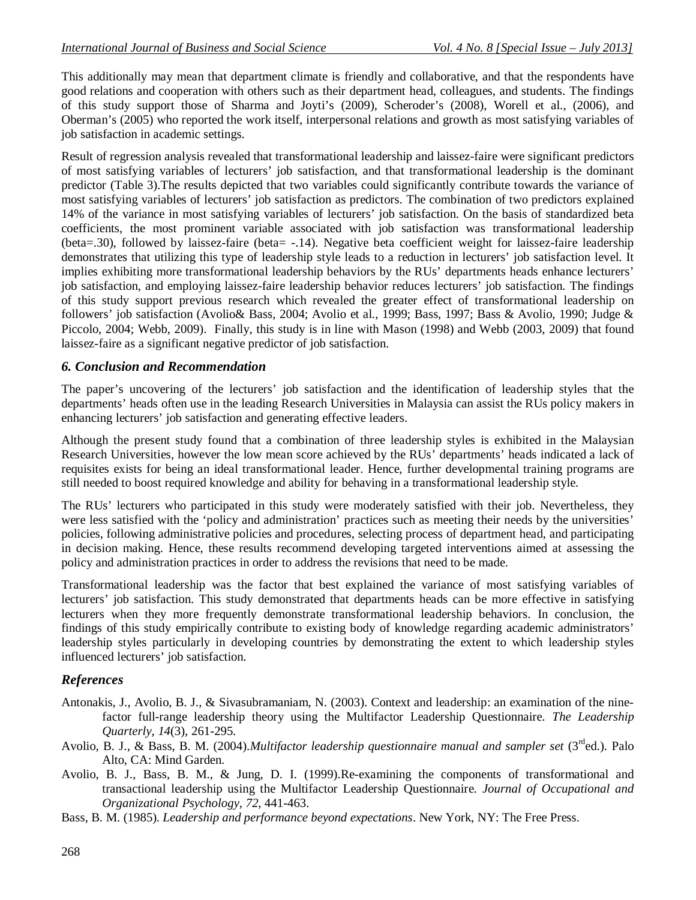This additionally may mean that department climate is friendly and collaborative, and that the respondents have good relations and cooperation with others such as their department head, colleagues, and students. The findings of this study support those of Sharma and Joyti's (2009), Scheroder's (2008), Worell et al., (2006), and Oberman's (2005) who reported the work itself, interpersonal relations and growth as most satisfying variables of job satisfaction in academic settings.

Result of regression analysis revealed that transformational leadership and laissez-faire were significant predictors of most satisfying variables of lecturers' job satisfaction, and that transformational leadership is the dominant predictor (Table 3).The results depicted that two variables could significantly contribute towards the variance of most satisfying variables of lecturers' job satisfaction as predictors. The combination of two predictors explained 14% of the variance in most satisfying variables of lecturers' job satisfaction. On the basis of standardized beta coefficients, the most prominent variable associated with job satisfaction was transformational leadership (beta=.30), followed by laissez-faire (beta= -.14). Negative beta coefficient weight for laissez-faire leadership demonstrates that utilizing this type of leadership style leads to a reduction in lecturers' job satisfaction level. It implies exhibiting more transformational leadership behaviors by the RUs' departments heads enhance lecturers' job satisfaction, and employing laissez-faire leadership behavior reduces lecturers' job satisfaction. The findings of this study support previous research which revealed the greater effect of transformational leadership on followers' job satisfaction (Avolio& Bass, 2004; Avolio et al., 1999; Bass, 1997; Bass & Avolio, 1990; Judge & Piccolo, 2004; Webb, 2009). Finally, this study is in line with Mason (1998) and Webb (2003, 2009) that found laissez-faire as a significant negative predictor of job satisfaction.

### *6. Conclusion and Recommendation*

The paper's uncovering of the lecturers' job satisfaction and the identification of leadership styles that the departments' heads often use in the leading Research Universities in Malaysia can assist the RUs policy makers in enhancing lecturers' job satisfaction and generating effective leaders.

Although the present study found that a combination of three leadership styles is exhibited in the Malaysian Research Universities, however the low mean score achieved by the RUs' departments' heads indicated a lack of requisites exists for being an ideal transformational leader. Hence, further developmental training programs are still needed to boost required knowledge and ability for behaving in a transformational leadership style.

The RUs' lecturers who participated in this study were moderately satisfied with their job. Nevertheless, they were less satisfied with the 'policy and administration' practices such as meeting their needs by the universities' policies, following administrative policies and procedures, selecting process of department head, and participating in decision making. Hence, these results recommend developing targeted interventions aimed at assessing the policy and administration practices in order to address the revisions that need to be made.

Transformational leadership was the factor that best explained the variance of most satisfying variables of lecturers' job satisfaction. This study demonstrated that departments heads can be more effective in satisfying lecturers when they more frequently demonstrate transformational leadership behaviors. In conclusion, the findings of this study empirically contribute to existing body of knowledge regarding academic administrators' leadership styles particularly in developing countries by demonstrating the extent to which leadership styles influenced lecturers' job satisfaction.

## *References*

- Antonakis, J., Avolio, B. J., & Sivasubramaniam, N. (2003). Context and leadership: an examination of the ninefactor full-range leadership theory using the Multifactor Leadership Questionnaire. *The Leadership Quarterly, 14*(3), 261-295.
- Avolio, B. J., & Bass, B. M. (2004).*Multifactor leadership questionnaire manual and sampler set* (3<sup>rd</sup>ed.). Palo Alto, CA: Mind Garden.
- Avolio, B. J., Bass, B. M., & Jung, D. I. (1999).Re-examining the components of transformational and transactional leadership using the Multifactor Leadership Questionnaire. *Journal of Occupational and Organizational Psychology, 72*, 441-463.
- Bass, B. M. (1985). *Leadership and performance beyond expectations*. New York, NY: The Free Press.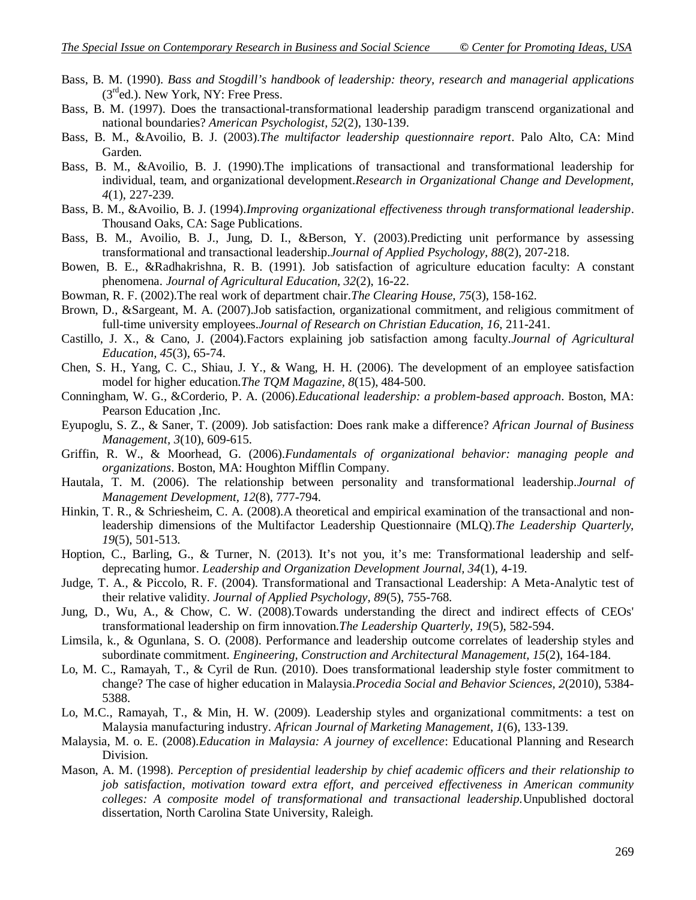- Bass, B. M. (1990). *Bass and Stogdill's handbook of leadership: theory, research and managerial applications*  $(3<sup>rd</sup>ed.)$ . New York, NY: Free Press.
- Bass, B. M. (1997). Does the transactional-transformational leadership paradigm transcend organizational and national boundaries? *American Psychologist, 52*(2), 130-139.
- Bass, B. M., &Avoilio, B. J. (2003).*The multifactor leadership questionnaire report*. Palo Alto, CA: Mind Garden.
- Bass, B. M., &Avoilio, B. J. (1990).The implications of transactional and transformational leadership for individual, team, and organizational development.*Research in Organizational Change and Development, 4*(1), 227-239.
- Bass, B. M., &Avoilio, B. J. (1994).*Improving organizational effectiveness through transformational leadership*. Thousand Oaks, CA: Sage Publications.
- Bass, B. M., Avoilio, B. J., Jung, D. I., &Berson, Y. (2003).Predicting unit performance by assessing transformational and transactional leadership.*Journal of Applied Psychology, 88*(2), 207-218.
- Bowen, B. E., &Radhakrishna, R. B. (1991). Job satisfaction of agriculture education faculty: A constant phenomena. *Journal of Agricultural Education, 32*(2), 16-22.
- Bowman, R. F. (2002).The real work of department chair.*The Clearing House, 75*(3), 158-162.
- Brown, D., &Sargeant, M. A. (2007).Job satisfaction, organizational commitment, and religious commitment of full-time university employees.*Journal of Research on Christian Education, 16*, 211-241.
- Castillo, J. X., & Cano, J. (2004).Factors explaining job satisfaction among faculty.*Journal of Agricultural Education, 45*(3), 65-74.
- Chen, S. H., Yang, C. C., Shiau, J. Y., & Wang, H. H. (2006). The development of an employee satisfaction model for higher education.*The TQM Magazine, 8*(15), 484-500.
- Conningham, W. G., &Corderio, P. A. (2006).*Educational leadership: a problem-based approach*. Boston, MA: Pearson Education ,Inc.
- Eyupoglu, S. Z., & Saner, T. (2009). Job satisfaction: Does rank make a difference? *African Journal of Business Management, 3*(10), 609-615.
- Griffin, R. W., & Moorhead, G. (2006).*Fundamentals of organizational behavior: managing people and organizations*. Boston, MA: Houghton Mifflin Company.
- Hautala, T. M. (2006). The relationship between personality and transformational leadership.*Journal of Management Development, 12*(8), 777-794.
- Hinkin, T. R., & Schriesheim, C. A. (2008). A theoretical and empirical examination of the transactional and nonleadership dimensions of the Multifactor Leadership Questionnaire (MLQ).*The Leadership Quarterly, 19*(5), 501-513.
- Hoption, C., Barling, G., & Turner, N. (2013). It's not you, it's me: Transformational leadership and selfdeprecating humor. *Leadership and Organization Development Journal, 34*(1), 4-19.
- Judge, T. A., & Piccolo, R. F. (2004). Transformational and Transactional Leadership: A Meta-Analytic test of their relative validity. *Journal of Applied Psychology, 89*(5), 755-768.
- Jung, D., Wu, A., & Chow, C. W. (2008).Towards understanding the direct and indirect effects of CEOs' transformational leadership on firm innovation.*The Leadership Quarterly, 19*(5), 582-594.
- Limsila, k., & Ogunlana, S. O. (2008). Performance and leadership outcome correlates of leadership styles and subordinate commitment. *Engineering, Construction and Architectural Management, 15*(2), 164-184.
- Lo, M. C., Ramayah, T., & Cyril de Run. (2010). Does transformational leadership style foster commitment to change? The case of higher education in Malaysia.*Procedia Social and Behavior Sciences, 2*(2010), 5384- 5388.
- Lo, M.C., Ramayah, T., & Min, H. W. (2009). Leadership styles and organizational commitments: a test on Malaysia manufacturing industry. *African Journal of Marketing Management, 1*(6), 133-139.
- Malaysia, M. o. E. (2008).*Education in Malaysia: A journey of excellence*: Educational Planning and Research Division.
- Mason, A. M. (1998). *Perception of presidential leadership by chief academic officers and their relationship to job satisfaction, motivation toward extra effort, and perceived effectiveness in American community colleges: A composite model of transformational and transactional leadership.*Unpublished doctoral dissertation, North Carolina State University, Raleigh.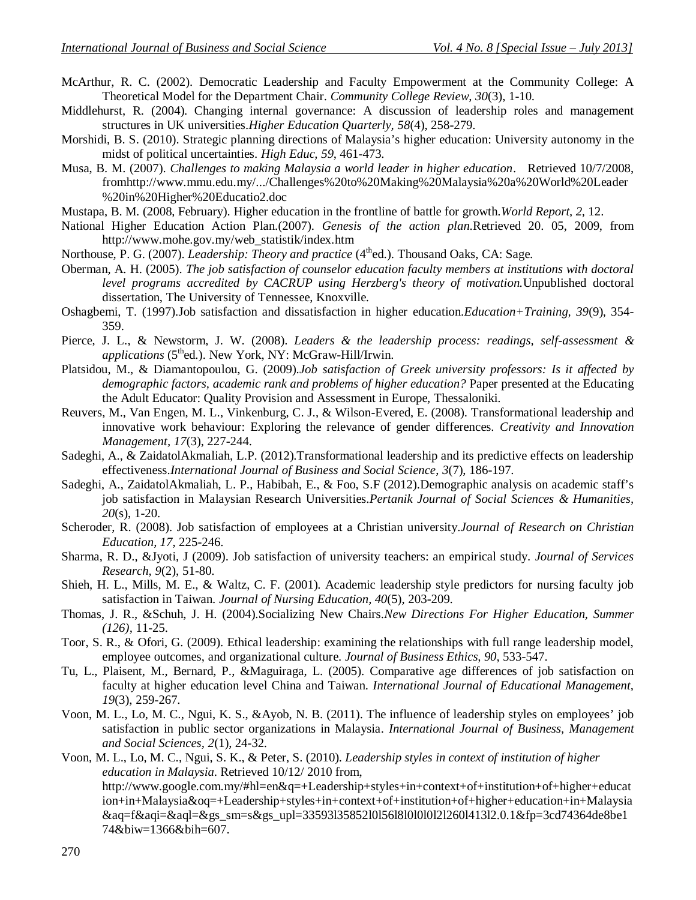- McArthur, R. C. (2002). Democratic Leadership and Faculty Empowerment at the Community College: A Theoretical Model for the Department Chair. *Community College Review, 30*(3), 1-10.
- Middlehurst, R. (2004). Changing internal governance: A discussion of leadership roles and management structures in UK universities.*Higher Education Quarterly, 58*(4), 258-279.
- Morshidi, B. S. (2010). Strategic planning directions of Malaysia's higher education: University autonomy in the midst of political uncertainties. *High Educ, 59*, 461-473.
- Musa, B. M. (2007). *Challenges to making Malaysia a world leader in higher education*. Retrieved 10/7/2008, fromhttp://www.mmu.edu.my/.../Challenges%20to%20Making%20Malaysia%20a%20World%20Leader %20in%20Higher%20Educatio2.doc
- Mustapa, B. M. (2008, February). Higher education in the frontline of battle for growth.*World Report, 2,* 12.
- National Higher Education Action Plan.(2007). *Genesis of the action plan*.Retrieved 20. 05, 2009, from http://www.mohe.gov.my/web\_statistik/index.htm
- Northouse, P. G. (2007). *Leadership: Theory and practice* (4<sup>th</sup>ed.). Thousand Oaks, CA: Sage.
- Oberman, A. H. (2005). *The job satisfaction of counselor education faculty members at institutions with doctoral level programs accredited by CACRUP using Herzberg's theory of motivation.*Unpublished doctoral dissertation, The University of Tennessee, Knoxville.
- Oshagbemi, T. (1997).Job satisfaction and dissatisfaction in higher education.*Education+Training, 39*(9), 354- 359.
- Pierce, J. L., & Newstorm, J. W. (2008). *Leaders & the leadership process: readings, self-assessment & applications* (5<sup>th</sup>ed.). New York, NY: McGraw-Hill/Irwin.
- Platsidou, M., & Diamantopoulou, G. (2009).*Job satisfaction of Greek university professors: Is it affected by demographic factors, academic rank and problems of higher education?* Paper presented at the Educating the Adult Educator: Quality Provision and Assessment in Europe, Thessaloniki.
- Reuvers, M., Van Engen, M. L., Vinkenburg, C. J., & Wilson-Evered, E. (2008). Transformational leadership and innovative work behaviour: Exploring the relevance of gender differences. *Creativity and Innovation Management, 17*(3), 227-244.
- Sadeghi, A., & ZaidatolAkmaliah, L.P. (2012).Transformational leadership and its predictive effects on leadership effectiveness.*International Journal of Business and Social Science*, *3*(7), 186-197.
- Sadeghi, A., ZaidatolAkmaliah, L. P., Habibah, E., & Foo, S.F (2012).Demographic analysis on academic staff's job satisfaction in Malaysian Research Universities.*Pertanik Journal of Social Sciences & Humanities, 20*(s), 1-20.
- Scheroder, R. (2008). Job satisfaction of employees at a Christian university.*Journal of Research on Christian Education, 17*, 225-246.
- Sharma, R. D., &Jyoti, J (2009). Job satisfaction of university teachers: an empirical study. *Journal of Services Research, 9*(2), 51-80.
- Shieh, H. L., Mills, M. E., & Waltz, C. F. (2001). Academic leadership style predictors for nursing faculty job satisfaction in Taiwan. *Journal of Nursing Education, 40*(5), 203-209.
- Thomas, J. R., &Schuh, J. H. (2004).Socializing New Chairs.*New Directions For Higher Education, Summer (126),* 11-25.
- Toor, S. R., & Ofori, G. (2009). Ethical leadership: examining the relationships with full range leadership model, employee outcomes, and organizational culture. *Journal of Business Ethics, 90*, 533-547.
- Tu, L., Plaisent, M., Bernard, P., &Maguiraga, L. (2005). Comparative age differences of job satisfaction on faculty at higher education level China and Taiwan. *International Journal of Educational Management, 19*(3), 259-267.
- Voon, M. L., Lo, M. C., Ngui, K. S., &Ayob, N. B. (2011). The influence of leadership styles on employees' job satisfaction in public sector organizations in Malaysia. *International Journal of Business, Management and Social Sciences, 2*(1), 24-32.
- Voon, M. L., Lo, M. C., Ngui, S. K., & Peter, S. (2010). *Leadership styles in context of institution of higher education in Malaysia*. Retrieved 10/12/ 2010 from, http://www.google.com.my/#hl=en&q=+Leadership+styles+in+context+of+institution+of+higher+educat ion+in+Malaysia&oq=+Leadership+styles+in+context+of+institution+of+higher+education+in+Malaysia &aq=f&aqi=&aql=&gs\_sm=s&gs\_upl=33593l35852l0l56l8l0l0l0l2l260l413l2.0.1&fp=3cd74364de8be1 74&biw=1366&bih=607.